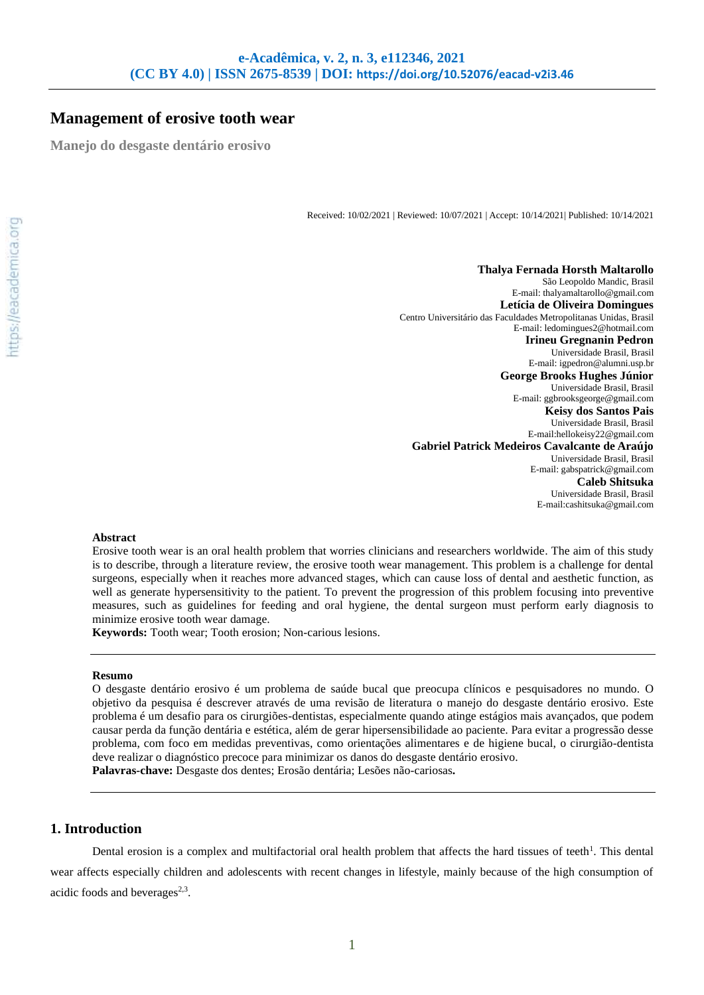# **Management of erosive tooth wear**

**Manejo do desgaste dentário erosivo**

Received: 10/02/2021 | Reviewed: 10/07/2021 | Accept: 10/14/2021| Published: 10/14/2021

**Thalya Fernada Horsth Maltarollo** São Leopoldo Mandic, Brasil E-mail: thalyamaltarollo@gmail.com **Letícia de Oliveira Domingues** Centro Universitário das Faculdades Metropolitanas Unidas, Brasil E-mail: ledomingues2@hotmail.com **Irineu Gregnanin Pedron** Universidade Brasil, Brasil E-mail: igpedron@alumni.usp.br **George Brooks Hughes Júnior** Universidade Brasil, Brasil E-mail: ggbrooksgeorge@gmail.com **Keisy dos Santos Pais** Universidade Brasil, Brasil E-mail:hellokeisy22@gmail.com **Gabriel Patrick Medeiros Cavalcante de Araújo** Universidade Brasil, Brasil E-mail: gabspatrick@gmail.com **Caleb Shitsuka** Universidade Brasil, Brasil E-mail:cashitsuka@gmail.com

### **Abstract**

Erosive tooth wear is an oral health problem that worries clinicians and researchers worldwide. The aim of this study is to describe, through a literature review, the erosive tooth wear management. This problem is a challenge for dental surgeons, especially when it reaches more advanced stages, which can cause loss of dental and aesthetic function, as well as generate hypersensitivity to the patient. To prevent the progression of this problem focusing into preventive measures, such as guidelines for feeding and oral hygiene, the dental surgeon must perform early diagnosis to minimize erosive tooth wear damage.

**Keywords:** Tooth wear; Tooth erosion; Non-carious lesions.

#### **Resumo**

O desgaste dentário erosivo é um problema de saúde bucal que preocupa clínicos e pesquisadores no mundo. O objetivo da pesquisa é descrever através de uma revisão de literatura o manejo do desgaste dentário erosivo. Este problema é um desafio para os cirurgiões-dentistas, especialmente quando atinge estágios mais avançados, que podem causar perda da função dentária e estética, além de gerar hipersensibilidade ao paciente. Para evitar a progressão desse problema, com foco em medidas preventivas, como orientações alimentares e de higiene bucal, o cirurgião-dentista deve realizar o diagnóstico precoce para minimizar os danos do desgaste dentário erosivo. **Palavras-chave:** Desgaste dos dentes; Erosão dentária; Lesões não-cariosas**.**

# **1. Introduction**

Dental erosion is a complex and multifactorial oral health problem that affects the hard tissues of teeth<sup>1</sup>. This dental wear affects especially children and adolescents with recent changes in lifestyle, mainly because of the high consumption of acidic foods and beverages $2,3$ .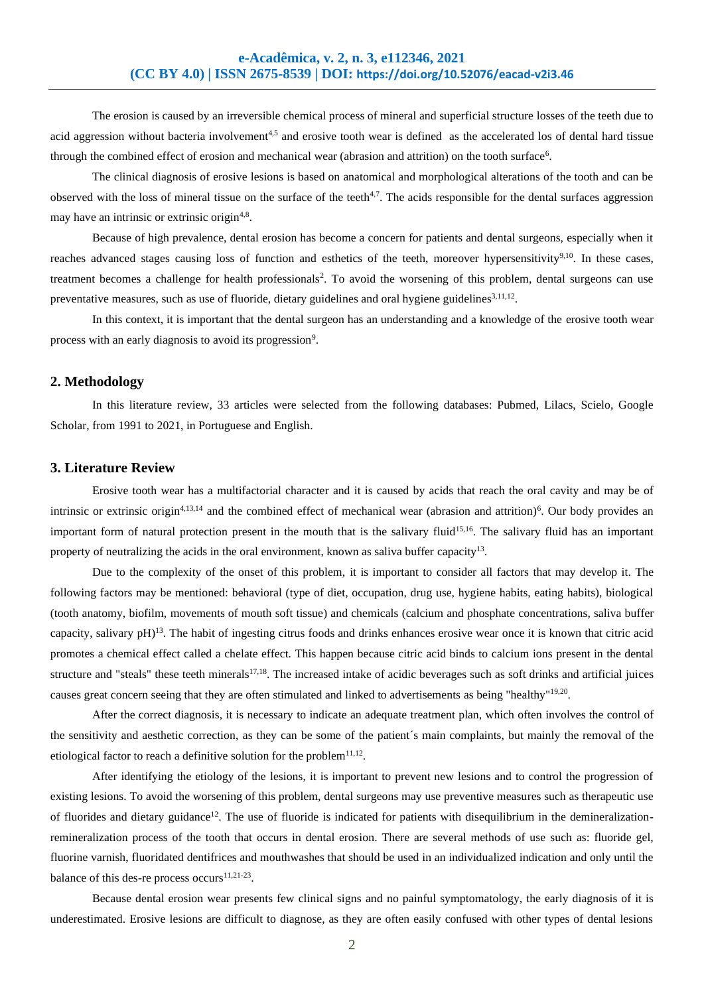The erosion is caused by an irreversible chemical process of mineral and superficial structure losses of the teeth due to acid aggression without bacteria involvement<sup>4,5</sup> and erosive tooth wear is defined as the accelerated los of dental hard tissue through the combined effect of erosion and mechanical wear (abrasion and attrition) on the tooth surface<sup>6</sup>.

The clinical diagnosis of erosive lesions is based on anatomical and morphological alterations of the tooth and can be observed with the loss of mineral tissue on the surface of the teeth<sup>4,7</sup>. The acids responsible for the dental surfaces aggression may have an intrinsic or extrinsic origin<sup>4,8</sup>.

Because of high prevalence, dental erosion has become a concern for patients and dental surgeons, especially when it reaches advanced stages causing loss of function and esthetics of the teeth, moreover hypersensitivity<sup>9,10</sup>. In these cases, treatment becomes a challenge for health professionals<sup>2</sup>. To avoid the worsening of this problem, dental surgeons can use preventative measures, such as use of fluoride, dietary guidelines and oral hygiene guidelines<sup>3,11,12</sup>.

In this context, it is important that the dental surgeon has an understanding and a knowledge of the erosive tooth wear process with an early diagnosis to avoid its progression<sup>9</sup>.

## **2. Methodology**

In this literature review, 33 articles were selected from the following databases: Pubmed, Lilacs, Scielo, Google Scholar, from 1991 to 2021, in Portuguese and English.

#### **3. Literature Review**

Erosive tooth wear has a multifactorial character and it is caused by acids that reach the oral cavity and may be of intrinsic or extrinsic origin<sup>4,13,14</sup> and the combined effect of mechanical wear (abrasion and attrition)<sup>6</sup>. Our body provides an important form of natural protection present in the mouth that is the salivary fluid<sup>15,16</sup>. The salivary fluid has an important property of neutralizing the acids in the oral environment, known as saliva buffer capacity<sup>13</sup>.

Due to the complexity of the onset of this problem, it is important to consider all factors that may develop it. The following factors may be mentioned: behavioral (type of diet, occupation, drug use, hygiene habits, eating habits), biological (tooth anatomy, biofilm, movements of mouth soft tissue) and chemicals (calcium and phosphate concentrations, saliva buffer capacity, salivary pH)<sup>13</sup>. The habit of ingesting citrus foods and drinks enhances erosive wear once it is known that citric acid promotes a chemical effect called a chelate effect. This happen because citric acid binds to calcium ions present in the dental structure and "steals" these teeth minerals $17,18$ . The increased intake of acidic beverages such as soft drinks and artificial juices causes great concern seeing that they are often stimulated and linked to advertisements as being "healthy"<sup>19,20</sup>.

After the correct diagnosis, it is necessary to indicate an adequate treatment plan, which often involves the control of the sensitivity and aesthetic correction, as they can be some of the patient´s main complaints, but mainly the removal of the etiological factor to reach a definitive solution for the problem $11,12$ .

After identifying the etiology of the lesions, it is important to prevent new lesions and to control the progression of existing lesions. To avoid the worsening of this problem, dental surgeons may use preventive measures such as therapeutic use of fluorides and dietary guidance<sup>12</sup>. The use of fluoride is indicated for patients with disequilibrium in the demineralizationremineralization process of the tooth that occurs in dental erosion. There are several methods of use such as: fluoride gel, fluorine varnish, fluoridated dentifrices and mouthwashes that should be used in an individualized indication and only until the balance of this des-re process occurs $11,21-23$ .

Because dental erosion wear presents few clinical signs and no painful symptomatology, the early diagnosis of it is underestimated. Erosive lesions are difficult to diagnose, as they are often easily confused with other types of dental lesions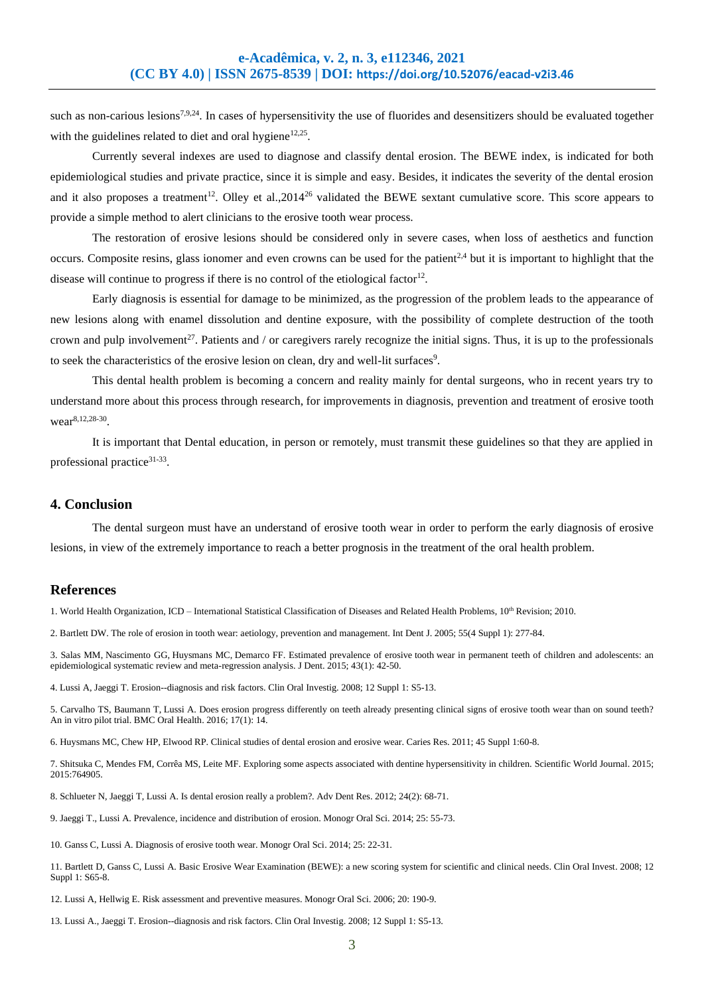such as non-carious lesions<sup>7,9,24</sup>. In cases of hypersensitivity the use of fluorides and desensitizers should be evaluated together with the guidelines related to diet and oral hygiene $12.25$ .

Currently several indexes are used to diagnose and classify dental erosion. The BEWE index, is indicated for both epidemiological studies and private practice, since it is simple and easy. Besides, it indicates the severity of the dental erosion and it also proposes a treatment<sup>12</sup>. Olley et al.,2014<sup>26</sup> validated the BEWE sextant cumulative score. This score appears to provide a simple method to alert clinicians to the erosive tooth wear process.

The restoration of erosive lesions should be considered only in severe cases, when loss of aesthetics and function occurs. Composite resins, glass ionomer and even crowns can be used for the patient<sup>2,4</sup> but it is important to highlight that the disease will continue to progress if there is no control of the etiological factor<sup>12</sup>.

Early diagnosis is essential for damage to be minimized, as the progression of the problem leads to the appearance of new lesions along with enamel dissolution and dentine exposure, with the possibility of complete destruction of the tooth crown and pulp involvement<sup>27</sup>. Patients and / or caregivers rarely recognize the initial signs. Thus, it is up to the professionals to seek the characteristics of the erosive lesion on clean, dry and well-lit surfaces<sup>9</sup>.

This dental health problem is becoming a concern and reality mainly for dental surgeons, who in recent years try to understand more about this process through research, for improvements in diagnosis, prevention and treatment of erosive tooth wear<sup>8,12,28-30</sup>.

It is important that Dental education, in person or remotely, must transmit these guidelines so that they are applied in professional practice<sup>31-33</sup>.

#### **4. Conclusion**

The dental surgeon must have an understand of erosive tooth wear in order to perform the early diagnosis of erosive lesions, in view of the extremely importance to reach a better prognosis in the treatment of the oral health problem.

# **References**

1. World Health Organization, ICD – International Statistical Classification of Diseases and Related Health Problems, 10th Revision; 2010.

2. Bartlett DW. The role of erosion in tooth wear: aetiology, prevention and management. Int Dent J. 2005; 55(4 Suppl 1): 277-84.

3. [Salas MM,](http://www.ncbi.nlm.nih.gov/pubmed/?term=Salas%20MM%5BAuthor%5D&cauthor=true&cauthor_uid=25446243) [Nascimento](http://www.ncbi.nlm.nih.gov/pubmed/?term=Nascimento%20GG%5BAuthor%5D&cauthor=true&cauthor_uid=25446243) GG, [Huysmans MC,](http://www.ncbi.nlm.nih.gov/pubmed/?term=Huysmans%20MC%5BAuthor%5D&cauthor=true&cauthor_uid=25446243) [Demarco FF.](http://www.ncbi.nlm.nih.gov/pubmed/?term=Demarco%20FF%5BAuthor%5D&cauthor=true&cauthor_uid=25446243) Estimated prevalence of erosive tooth wear in permanent teeth of children and adolescents: an epidemiological systematic review and meta-regression analysis[. J Dent.](http://www.ncbi.nlm.nih.gov/pubmed/25446243) 2015; 43(1): 42-50.

4. Lussi A, Jaeggi T[. Erosion--diagnosis and risk factors.](http://www.ncbi.nlm.nih.gov/pubmed/18228059) Clin Oral Investig. 2008; 12 Suppl 1: S5-13.

5. [Carvalho TS,](http://www.ncbi.nlm.nih.gov/pubmed/?term=Carvalho%20TS%5BAuthor%5D&cauthor=true&cauthor_uid=24993274) Baumann T, [Lussi A.](http://www.ncbi.nlm.nih.gov/pubmed/?term=Lussi%20A%5BAuthor%5D&cauthor=true&cauthor_uid=24993274) Does erosion progress differently on teeth already presenting clinical signs of erosive tooth wear than on sound teeth? An in vitro pilot trial[. BMC Oral Health.](http://www.ncbi.nlm.nih.gov/pubmed/24993274) 2016; 17(1): 14.

6. Huysmans MC, Chew HP, Elwood RP. Clinical studies of dental erosion and erosive wear. Caries Res. 2011; 45 Suppl 1:60-8.

7. Shitsuka C, Mendes FM, Corrêa MS, Leite MF[. Exploring some aspects associated with dentine hypersensitivity in children.](http://www.ncbi.nlm.nih.gov/pubmed/25879070) Scientific World Journal. 2015; 2015:764905.

8. Schlueter N, Jaeggi T, Lussi A. Is [dental erosion](http://www.ncbi.nlm.nih.gov/pubmed/22899683) really a problem?. Adv Dent Res. 2012; 24(2): 68-71.

9[. Jaeggi T.](http://www.ncbi.nlm.nih.gov/pubmed/?term=Jaeggi%20T%5BAuthor%5D&cauthor=true&cauthor_uid=24993258), [Lussi A.](http://www.ncbi.nlm.nih.gov/pubmed/?term=Lussi%20A%5BAuthor%5D&cauthor=true&cauthor_uid=24993258) Prevalence, incidence and distribution of erosion[. Monogr Oral Sci.](http://www.ncbi.nlm.nih.gov/pubmed/24993258) 2014; 25: 55-73.

10. Ganss C, Lussi A. Diagnosis of erosive tooth wear. Monogr Oral Sci. 2014; 25: 22-31.

11. Bartlett D, Ganss C, Lussi A. Basic Erosive Wear Examination (BEWE): a new scoring system for scientific and clinical needs. Clin Oral Invest. 2008; 12 Suppl 1: S65-8.

12. Lussi A, Hellwig E. Risk assessment and preventive measures. Monogr Oral Sci. 2006; 20: 190-9.

13. Lussi A., Jaeggi T. Erosion--diagnosis and risk factors. Clin Oral Investig. 2008; 12 Suppl 1: S5-13.